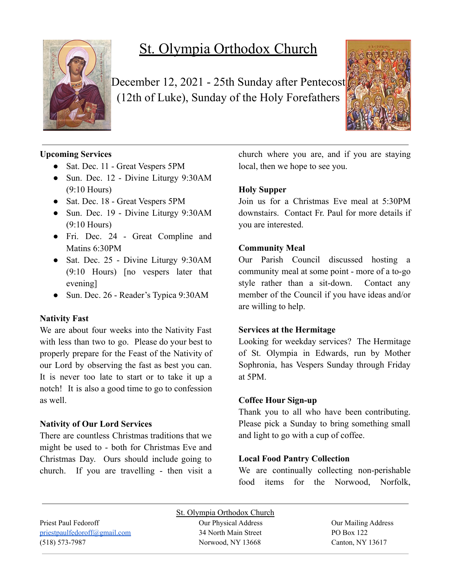

# St. Olympia Orthodox Church

December 12, 2021 - 25th Sunday after Pentecost (12th of Luke), Sunday of the Holy Forefathers



### **Upcoming Services**

- Sat. Dec. 11 Great Vespers 5PM
- Sun. Dec. 12 Divine Liturgy 9:30AM (9:10 Hours)
- Sat. Dec. 18 Great Vespers 5PM
- Sun. Dec. 19 Divine Liturgy 9:30AM (9:10 Hours)
- Fri. Dec. 24 Great Compline and Matins 6:30PM
- Sat. Dec. 25 Divine Liturgy 9:30AM (9:10 Hours) [no vespers later that evening]
- Sun. Dec. 26 Reader's Typica 9:30AM

#### **Nativity Fast**

We are about four weeks into the Nativity Fast with less than two to go. Please do your best to properly prepare for the Feast of the Nativity of our Lord by observing the fast as best you can. It is never too late to start or to take it up a notch! It is also a good time to go to confession as well.

#### **Nativity of Our Lord Services**

There are countless Christmas traditions that we might be used to - both for Christmas Eve and Christmas Day. Ours should include going to church. If you are travelling - then visit a church where you are, and if you are staying local, then we hope to see you.

# **Holy Supper**

Join us for a Christmas Eve meal at 5:30PM downstairs. Contact Fr. Paul for more details if you are interested.

### **Community Meal**

Our Parish Council discussed hosting a community meal at some point - more of a to-go style rather than a sit-down. Contact any member of the Council if you have ideas and/or are willing to help.

#### **Services at the Hermitage**

Looking for weekday services? The Hermitage of St. Olympia in Edwards, run by Mother Sophronia, has Vespers Sunday through Friday at 5PM.

#### **Coffee Hour Sign-up**

Thank you to all who have been contributing. Please pick a Sunday to bring something small and light to go with a cup of coffee.

## **Local Food Pantry Collection**

We are continually collecting non-perishable food items for the Norwood, Norfolk,

Priest Paul Fedoroff Our Physical Address Our Mailing Address [priestpaulfedoroff@gmail.com](mailto:priestpaulfedoroff@gmail.com) 34 North Main Street PO Box 122 (518) 573-7987 Norwood, NY 13668 Canton, NY 13617

St. Olympia Orthodox Church